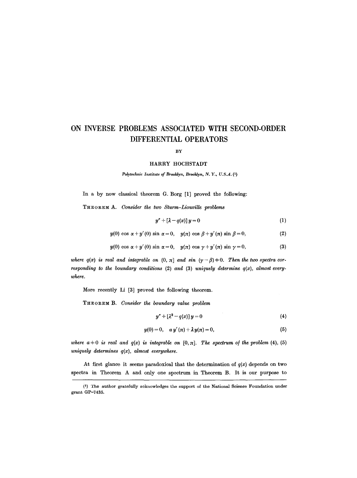# **ON INVERSE PROBLEMS ASSOCIATED WITH SECOND-ORDER DIFFERENTIAL OPERATORS**

BY

### HARRY HOCHSTADT

Polytechnic Institute of Brooklyn, Brooklyn, N.Y., U.S.A. (1)

In a by now classical theorem G. Borg [1] proved the following:

**THEOREM** A. *Consider the two Sturm-LiouviUe problems* 

$$
y'' + [\lambda - q(x)] y = 0 \tag{1}
$$

 $y(0) \cos \alpha + y'(0) \sin \alpha = 0$ ,  $y(\pi) \cos \beta + y'(\pi) \sin \beta = 0$ , (2)

$$
y(0)\cos\alpha+y'(0)\sin\alpha=0,\quad y(\pi)\cos\gamma+y'(\pi)\sin\gamma=0,\tag{3}
$$

*where q(x) is real and integrable on*  $(0, \pi]$  *and sin*  $(\gamma - \beta) \neq 0$ . Then the two spectra cor*responding to the boundary conditions* (2) *and* (3) *uniquely determine* q(x), *almost everywhere.* 

More recently Li [3] proved the following theorem.

**THEOREM** B. *Consider the boundary value problem* 

$$
y'' + \left[\lambda^2 - q(x)\right]y = 0\tag{4}
$$

$$
y(0) = 0, \quad a y'(\pi) + \lambda y(\pi) = 0, \tag{5}
$$

*where*  $a \neq 0$  *is real and*  $q(x)$  *is integrable on* [0,  $\pi$ ]. The spectrum of the problem (4), (5) *uniquely determines q(x), almost everywhere.* 

At first glance it seems paradoxical that the determination of  $q(x)$  depends on two spectra in Theorem A and only one spectrum in Theorem B. It is our purpose to

<sup>(1)</sup> The author gratefully acknowledges the support of the National Science Foundation under grant GP-7435.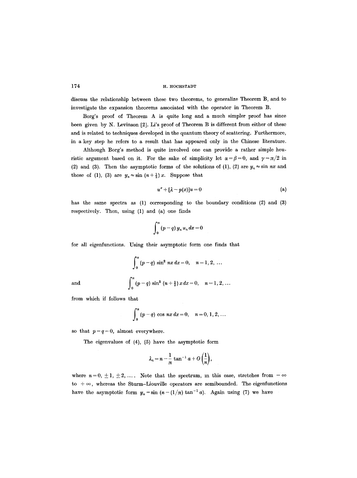discuss the relationship between these two theorems, to generalize Theorem B, and to investigate the expansion theorems associated with the operator in Theorem B.

Borg's proof of Theorem A is quite long and a much simpler proof has since been given by N. Levinson [2]. Li's proof of Theorem B is different from either of these and is related to techniques developed in the quantum theory of scattering. Furthermore, in a key step he refers to a result that has appeared only in the Chinese literature.

Although Borg's method is quite involved one can provide a rather simple heuristic argument based on it. For the sake of simplicity let  $\alpha = \beta = 0$ , and  $\gamma = \pi/2$  in (2) and (3). Then the asymptotic forms of the solutions of (1), (2) are  $y_n \approx \sin nx$  and those of (1), (3) are  $y_n \approx \sin(n+\frac{1}{2})x$ . Suppose that

$$
u'' + [\lambda - p(x)]u = 0 \tag{a}
$$

has the same spectra as (1) corresponding to the boundary conditions (2) and (3) respectively. Then, using (1) and (a) one finds

$$
\int_0^{\pi} (p-q) y_n u_n dx = 0
$$

for all eigenfunctions. Using their asymptotic form one finds that

$$
\int_0^{\pi} (p-q) \sin^2 nx \, dx = 0, \quad n = 1, 2, \ldots
$$

and 
$$
\int_0^{\pi} (p-q) \sin^2 (n+\frac{1}{2}) x dx = 0, \quad n=1, 2, ...
$$

from which if follows that

$$
\int_0^{\pi} (p-q) \cos nx \, dx = 0, \quad n = 0, 1, 2, ...
$$

so that  $p-q=0$ , almost everywhere.

The eigenvalues of (4), (5) have the asymptotic form

$$
\lambda_n = n - \frac{1}{\pi} \tan^{-1} a + O\left(\frac{1}{n}\right),
$$

where  $n=0, \pm 1, \pm 2, \ldots$ . Note that the spectrum, in this case, stretches from  $-\infty$ to  $+\infty$ , whereas the Sturm-Liouville operators are semibounded. The eigenfunctions have the asymptotic form  $y_n=\sin(n-(1/\pi)\tan^{-1} a)$ . Again using (7) we have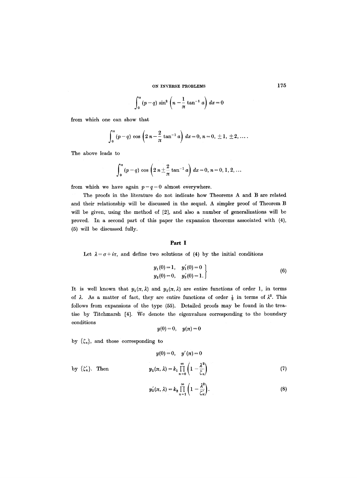$$
\int_0^{\pi} (p-q) \sin^2 \left(n - \frac{1}{\pi} \tan^{-1} a\right) dx = 0
$$

from which one can show that

$$
\int_0^{\pi} (p-q) \cos \left(2 n - \frac{2}{\pi} \tan^{-1} a\right) dx = 0, n = 0, \pm 1, \pm 2, \ldots
$$

The above leads to

$$
\int_0^{\pi} (p-q) \cos \left(2 n \pm \frac{2}{\pi} \tan^{-1} a\right) dx = 0, n = 0, 1, 2, ...
$$

from which we have again  $p-q=0$  almost everywhere.

The proofs in the literature do not indicate how Theorems A and B are related and their relationship will be discussed in the sequel. A simpler proof of Theorem B will be given, using the method of [2], and also a number of generalizations will be proved. In a second part of this paper the expansion theorems associated with (4), (5) will be discussed fully.

## **Part I**

Let  $\lambda = \sigma + i\tau$ , and define two solutions of (4) by the initial conditions

$$
y_1(0) = 1, y'_1(0) = 0
$$
  
\n $y_2(0) = 0, y'_2(0) = 1.$  (6)

It is well known that  $y_1(\pi,\lambda)$  and  $y_2(\pi,\lambda)$  are entire functions of order 1, in terms of  $\lambda$ . As a matter of fact, they are entire functions of order  $\frac{1}{2}$  in terms of  $\lambda^2$ . This follows from expansions of the type (55). Detailed proofs may be found in the treatise by Titchmarsh [4]. We denote the eigenvalues corresponding to the boundary conditions

$$
y(0) = 0, \quad y(\pi) = 0
$$

by  $\{\zeta_n\}$ , and those corresponding to

$$
y(0)=0, \quad y'(\pi)=0
$$

by  ${*z*'_n}.$  Then  $\qquad \qquad \qquad$ 

$$
y_2(\pi,\lambda)=k_1\prod_{n=0}^{\infty}\left(1-\frac{\lambda^2}{\zeta_n}\right) \hspace{1cm} (7)
$$

$$
y_2'(\pi,\lambda)=k_2\prod_{n=1}^{\infty}\left(1-\frac{\lambda^2}{\zeta_n'}\right).
$$
 (8)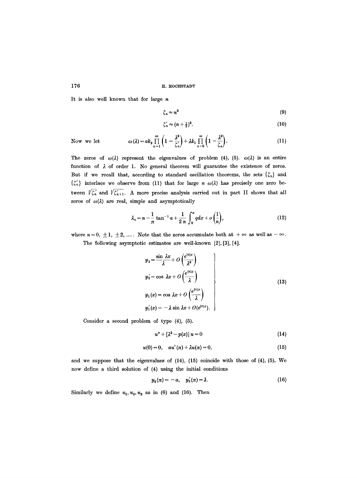It is also well known that for large  $n$ 

$$
\zeta_n \approx n^2 \tag{9}
$$

$$
\zeta_n' \approx (n+\tfrac{1}{2})^2. \tag{10}
$$

Now we let

$$
\omega(\lambda) = ak_2 \prod_{n=1}^{\infty} \left(1 - \frac{\lambda^2}{\zeta_n}\right) + \lambda k_1 \prod_{n=0}^{\infty} \left(1 - \frac{\lambda^2}{\zeta_n}\right).
$$
 (11)

The zeros of  $\omega(\lambda)$  represent the eigenvalues of problem (4), (5).  $\omega(\lambda)$  is an entire function of  $\lambda$  of order 1. No general theorem will guarantee the existence of zeros. But if we recall that, according to standard oscillation theorems, the sets  $\{\zeta_n\}$  and  $\{\zeta_n'\}$  interlace we observe from (11) that for large n  $\omega(\lambda)$  has precisely one zero between  $\sqrt{\zeta'_n}$  and  $\sqrt{\zeta'_{n+1}}$ . A more precise analysis carried out in part II shows that all zeros of  $\omega(\lambda)$  are real, simple and asymptotically

$$
\lambda_n = n - \frac{1}{\pi} \tan^{-1} a + \frac{1}{2 n} \int_0^{\pi} q dx + o\left(\frac{1}{n}\right), \tag{12}
$$

where  $n=0, \pm 1, \pm 2, \ldots$ . Note that the zeros accumulate both at  $+\infty$  as well as  $-\infty$ .

The following asymptotic estimates are well.known [2], [3], [4].

$$
y_2 = \frac{\sin \lambda x}{\lambda} + O\left(\frac{e^{|\tau|x|}}{\lambda^2}\right)
$$
  
\n
$$
y_2' = \cos \lambda x + O\left(\frac{e^{|\tau|x|}}{\lambda}\right)
$$
  
\n
$$
y_1(x) = \cos \lambda x + O\left(\frac{e^{|\tau|x|}}{\lambda}\right)
$$
  
\n
$$
y_1'(x) = -\lambda \sin \lambda x + O(e^{|\tau|x|}).
$$
\n(13)

Consider a second problem of type (4), (5).

$$
u'' + \left[\lambda^2 - p(x)\right]u = 0\tag{14}
$$

$$
u(0) = 0, \quad au'(\pi) + \lambda u(\pi) = 0, \tag{15}
$$

and we suppose that the eigenvalues of (14), (15) coincide with those of (4), (5). We now define a third solution of (4) using the initial conditions

$$
y_3(\pi) = -a, \quad y_3'(\pi) = \lambda. \tag{16}
$$

Similarly we define  $u_1, u_2, u_3$  as in (6) and (16). Then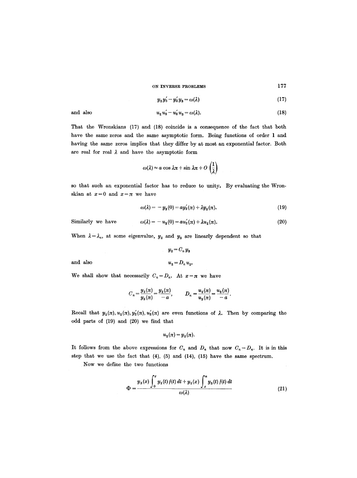$$
y_2 y_3' - y_2' y_3 = \omega(\lambda) \tag{17}
$$

$$
u_2 u_3' - u_2' u_3 = \omega(\lambda). \tag{18}
$$

That the Wronskians (17) and (18) coincide is a consequence of the fact that both have the same zeros and the same asymptotic form. Being functions of order 1 and having the same zeros implies that they differ by at most an exponential factor. Both are real for real  $\lambda$  and have the asymptotic form

$$
\omega(\lambda) \approx a \cos \lambda \pi + \sin \lambda \pi + O\left(\frac{1}{\lambda}\right)
$$

so that such an exponential factor has to reduce to unity. By evaluating the Wronskian at  $x=0$  and  $x=\pi$  we have

$$
\omega(\lambda) = -y_3(0) = ay_2'(\pi) + \lambda y_2(\pi). \tag{19}
$$

Similarly we have 
$$
\omega(\lambda) = -u_3(0) = au'_2(\pi) + \lambda u_2(\pi).
$$
 (20)

When  $\lambda = \lambda_n$ , at some eigenvalue,  $y_2$  and  $y_3$  are linearly dependent so that

$$
\boldsymbol{y_2} = \boldsymbol{C_n}\, \boldsymbol{y_3}
$$

and also  $u_2 = D_n u_3$ .

and also

We shall show that necessarily  $C_n = D_n$ . At  $x = \pi$  we have

$$
C_n = \frac{y_2(\pi)}{y_3(\pi)} = \frac{y_2(\pi)}{-a}, \qquad D_n = \frac{u_2(\pi)}{u_3(\pi)} = \frac{u_2(\pi)}{-a}.
$$

Recall that  $y_2(\pi), u_2(\pi), y'_2(\pi), u'_2(\pi)$  are even functions of  $\lambda$ . Then by comparing the odd parts of (19) and (20) we find that

$$
u_2(\pi) = y_2(\pi).
$$

It follows from the above expressions for  $C_n$  and  $D_n$  that now  $C_n = D_n$ . It is in this step that we use the fact that (4), (5) and (14), (15) have the same spectrum.

Now we define the two functions

$$
\Phi = \frac{y_3(x) \int_0^x y_2(t) f(t) dt + y_2(x) \int_x^{\pi} y_3(t) f(t) dt}{\omega(\lambda)}
$$
(21)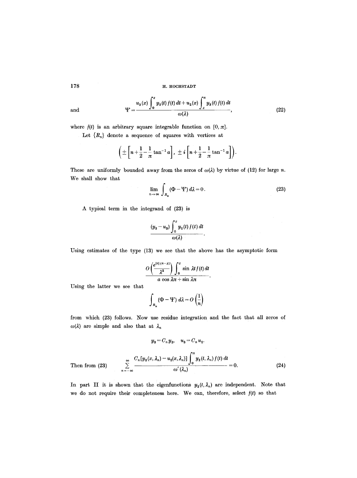and 
$$
\Psi = \frac{u_3(x) \int_0^x y_2(t) f(t) dt + u_2(x) \int_x^x y_3(t) f(t) dt}{\omega(\lambda)},
$$
 (22)

where  $f(t)$  is an arbitrary square integrable function on  $[0, \pi]$ .

Let  ${R_n}$  denote a sequence of squares with vertices at

$$
\left(\pm\left[n+\frac{1}{2}-\frac{1}{\pi}\tan^{-1}a\right],\ \pm i\left[n+\frac{1}{2}-\frac{1}{\pi}\tan^{-1}a\right]\right).
$$

These are uniformly bounded away from the zeros of  $\omega(\lambda)$  by virtue of (12) for large n. We shall show that

$$
\lim_{n \to \infty} \int_{R_n} (\Phi - \Psi) d\lambda = 0.
$$
 (23)

A typical term in the integrand of (23) is

$$
\frac{(y_3-u_3)\int_0^x y_2(t)f(t) dt}{\omega(\lambda)}.
$$

Using estimates of the type (13) we see that the above has the asymptotic form

$$
\frac{O\left(\frac{e^{|\tau|(x-x)}}{\lambda^2}\right)\int_0^x \sin \lambda t f(t) dt}{a \cos \lambda \pi + \sin \lambda \pi}.
$$

Using the latter we see that

$$
\int_{R_n} (\Phi - \Psi) \; d\lambda = O\left(\frac{1}{n}\right)
$$

from which (23) follows. Now use residue integration and the fact that all zeros of  $\omega(\lambda)$  are simple and also that at  $\lambda_n$ 

$$
y_3 = C_n y_2, \quad u_3 = C_n u_2.
$$
  
Then from (23) 
$$
\sum_{n=-\infty}^{\infty} \frac{C_n [y_2(x, \lambda_n) - u_2(x, \lambda_n)] \int_0^{\pi} y_2(t, \lambda_n) f(t) dt}{\omega'(\lambda_n)} = 0.
$$
 (24)

In part II it is shown that the eigenfunctions  $y_2(t, \lambda_n)$  are independent. Note that we do not require their completeness here. We can, therefore, select *](t)* so that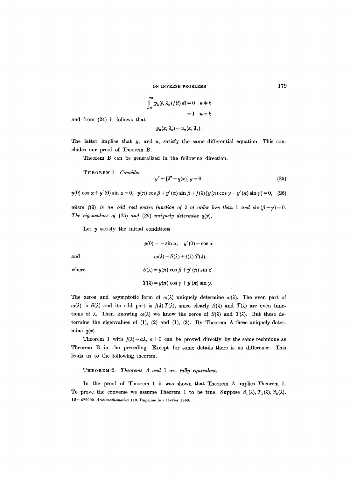$$
\int_0^n y_2(t, \lambda_n) f(t) dt = 0 \quad n \neq k
$$
  
= 1 \quad n = k

and from (24) it follows that

$$
\mathcal{Y}_2(x,\lambda_n)=u_2(x,\lambda_n).
$$

The latter implies that  $y_2$  and  $u_2$  satisfy the same differential equation. This concludes our proof of Theorem B.

Theorem B can be generalized in the following direction.

THEOREM 1. *Consider* 

$$
y'' + [\lambda^2 - q(x)] y = 0 \tag{25}
$$

 $y(0) \cos \alpha + y'(0) \sin \alpha = 0$ ,  $y(\pi) \cos \beta + y'(\pi) \sin \beta + f(\lambda) [y(\pi) \cos \gamma + y'(\pi) \sin \gamma] = 0$ , (26)

*where*  $f(\lambda)$  is an odd real entire function of  $\lambda$  of order less than 1 and  $\sin(\beta - \gamma) \neq 0$ . The eigenvalues of  $(25)$  and  $(26)$  uniquely determine  $q(x)$ .

Let  $y$  satisfy the initial conditions

$$
y(0) = -\sin \alpha, \quad y'(0) = \cos \alpha
$$
  
and  

$$
\omega(\lambda) = S(\lambda) + f(\lambda) T(\lambda),
$$
  

$$
S(\lambda) = y(\pi) \cos \beta + y'(\pi) \sin \beta
$$
  

$$
T(\lambda) = y(\pi) \cos \gamma + y'(\pi) \sin \gamma.
$$

The zeros and asymptotic form of  $\omega(\lambda)$  uniquely determine  $\omega(\lambda)$ . The even part of  $\omega(\lambda)$  is  $S(\lambda)$  and its odd part is  $f(\lambda) T(\lambda)$ , since clearly  $S(\lambda)$  and  $T(\lambda)$  are even functions of  $\lambda$ . Then knowing  $\omega(\lambda)$  we know the zeros of  $S(\lambda)$  and  $T(\lambda)$ . But these determine the eigenvalues of (1), (2) and (1), (3). By Theorem A these uniquely determine  $q(x)$ .

Theorem 1 with  $f(\lambda) = a\lambda$ ,  $a \neq 0$  can be proved directly by the same technique as Theorem B in the preceding. Except for some details there is no difference. This leads us to the following theorem.

THEOREM 2. *Theorems A and 1 are /ully equivalent.* 

In the proof of Theorem 1 it was shown that Theorem A implies Theorem 1. To prove the converse we assume Theorem 1 to be true. Suppose  $S_1(\lambda)$ ,  $T_1(\lambda)$ ,  $S_2(\lambda)$ , 12- 672909 *Acta mathematica* 119. Imprim6 le 7 f6vrier 1968.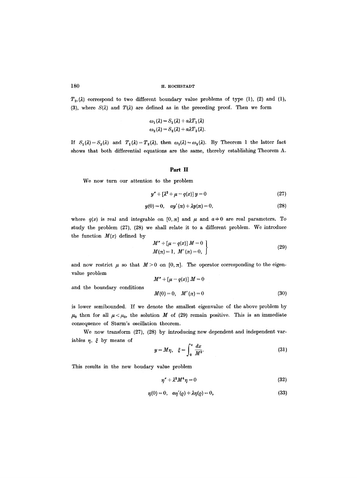$T_2$ , ( $\lambda$ ) correspond to two different boundary value problems of type (1), (2) and (1), (3), where  $S(\lambda)$  and  $T(\lambda)$  are defined as in the preceding proof. Then we form

$$
\omega_1(\lambda) = S_1(\lambda) + a\lambda T_1(\lambda)
$$
  

$$
\omega_2(\lambda) = S_2(\lambda) + a\lambda T_2(\lambda).
$$

If  $S_1(\lambda) = S_2(\lambda)$  and  $T_1(\lambda) = T_2(\lambda)$ , then  $\omega_1(\lambda) = \omega_2(\lambda)$ . By Theorem 1 the latter fact shows that both differential equations are the same, thereby establishing Theorem A.

### **Part II**

We now turn our attention to the problem

$$
y'' + \left[\lambda^2 + \mu - q(x)\right]y = 0\tag{27}
$$

$$
y(0) = 0, \quad ay'(\pi) + \lambda y(\pi) = 0, \tag{28}
$$

where  $q(x)$  is real and integrable on  $[0, \pi]$  and  $\mu$  and  $a+0$  are real parameters. To study the problem (27), (28) we shall relate it to a different problem. We introduce the function  $M(x)$  defined by

$$
M'' + [\mu - q(x)] M = 0
$$
  
 
$$
M(\pi) = 1, M'(\pi) = 0,
$$
 (29)

and now restrict  $\mu$  so that  $M > 0$  on  $[0, \pi]$ . The operator corresponding to the eigenvalue problem

and the boundary conditions

$$
M'' + [\mu - q(x)] M = 0
$$
  

$$
M(0) = 0, \quad M'(\pi) = 0
$$
 (30)

is lower semibounded. If we denote the smallest eigenvalue of the above problem by  $\mu_0$  then for all  $\mu < \mu_0$ , the solution M of (29) remain positive. This is an immediate consequence of Sturm's oscillation theorem.

We now transform (27), (28) by introducing new dependent and independent variables  $\eta$ ,  $\xi$  by means of

$$
y = M\eta, \quad \xi = \int_0^x \frac{dx}{M^2}.\tag{31}
$$

This results in the new boudary value problem

$$
\eta'' + \lambda^2 M^4 \eta = 0 \tag{32}
$$

$$
\eta(0) = 0, \quad a\eta'(0) + \lambda \eta(0) = 0,
$$
\n(33)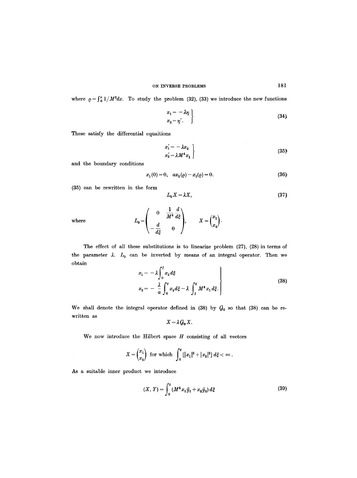where  $\rho = \int_0^{\pi} 1/M^2 dx$ . To study the problem (32), (33) we introduce the new functions

$$
\begin{aligned}\nx_1 &= -\lambda \eta \\
x_2 &= \eta'\n\end{aligned}\n\tag{34}
$$

These satisfy the differential equaitions

$$
\begin{aligned}\nx_1' &= -\lambda x_2 \\
x_2' &= \lambda M^4 x_1\n\end{aligned}\n\tag{35}
$$

and the boundary conditions

$$
x_1(0) = 0, \quad ax_2(\varrho) - x_1(\varrho) = 0. \tag{36}
$$

(35) can be rewritten in the form

$$
L_0 X = \lambda X, \tag{37}
$$

where

$$
L_0 = \begin{pmatrix} 0 & \frac{1}{M^4} \frac{d}{d\xi} \\ -\frac{d}{d\xi} & 0 \end{pmatrix}, \qquad X = \begin{pmatrix} x_1 \\ x_2 \end{pmatrix}.
$$

the parameter  $\lambda$ .  $L_0$  can be inverted by means of an integral operator. Then we obtain The effect of all these substitutions is to linearize problem  $(27)$ ,  $(28)$  in terms of

$$
x_1 = -\lambda \int_0^{\xi} x_2 d\xi
$$
  
\n
$$
x_2 = -\frac{\lambda}{a} \int_0^e x_2 d\xi - \lambda \int_{\xi}^e M^4 x_1 d\xi.
$$
\n(38)

We shall denote the integral operator defined in (38) by  $G_0$  so that (38) can be rewritten as

$$
X=\lambda G_0 X.
$$

We now introduce the Hilbert space  $H$  consisting of all vectors

$$
X = \begin{pmatrix} x_1 \\ x_2 \end{pmatrix} \text{ for which } \int_0^e [ |x_1|^2 + |x_2|^2 ] \, d\xi < \infty \, .
$$

As a suitable inner product we introduce

$$
(X, Y) = \int_0^e (M^4 x_1 \bar{y}_1 + x_2 \bar{y}_2) d\xi
$$
 (39)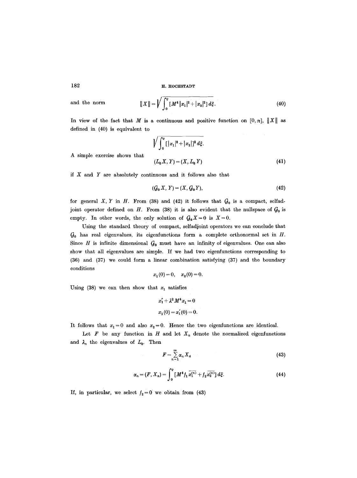and the norm 
$$
||X|| = \sqrt{\int_0^e [M^4 |x_1|^2 + |x_2|^2] d\xi}.
$$
 (40)

In view of the fact that M is a continuous and positive function on  $[0, \pi]$ ,  $||X||$  as defined in (40) is equivalent to

$$
\sqrt{\int_0^e [|x_1|^2 + |x_2|]^2 d\xi}.
$$
  
( $L_0 X, Y$ ) = ( $X, L_0 Y$ ) (41)

A simple exercise shows that

if  $X$  and  $Y$  are absolutely continuous and it follows also that

$$
(\mathcal{G}_0 X, Y) = (X, \mathcal{G}_0 Y), \tag{42}
$$

for general X, Y in H. From (38) and (42) it follows that  $G_0$  is a compact, selfadjoint operator defined on H. From (38) it is also evident that the nullspace of  $G_0$  is empty. In other words, the only solution of  $G_0X = 0$  is  $X = 0$ .

Using the standard theory of compact, selfadjoint operators we can conclude that  $G_0$  has real eigenvalues, its eigenfunctions form a complete orthonormal set in  $H$ . Since H is infinite dimensional  $G_0$  must have an infinity of eigenvalues. One can also show that all eigenvalues are simple. If we had two eigenfunctions corresponding to (36) and (37) we could form a linear combination satisfying (37) and the boundary conditions

$$
x_1(0) = 0, \quad x_2(0) = 0.
$$

Using (38) we can then show that  $x_1$  satisfies

$$
x_1'' + \lambda^2 M^4 x_1 = 0
$$
  

$$
x_1(0) = x_1'(0) = 0.
$$

It follows that  $x_1 = 0$  and also  $x_2 = 0$ . Hence the two eigenfunctions are identical.

Let  $F$  be any function in  $H$  and let  $X_n$  denote the normalized eigenfunctions and  $\lambda_n$  the eigenvalues of  $L_0$ . Then

$$
F = \sum_{n=1}^{\infty} \alpha_n X_n \tag{43}
$$

$$
\alpha_n = (F, X_n) = \int_0^e \left[ M^4 f_1 \, \overline{x_1^{(n)}} + f_2 \, \overline{x_2^{(n)}} \right] d\xi. \tag{44}
$$

If, in particular, we select  $f_2=0$  we obtain from (43)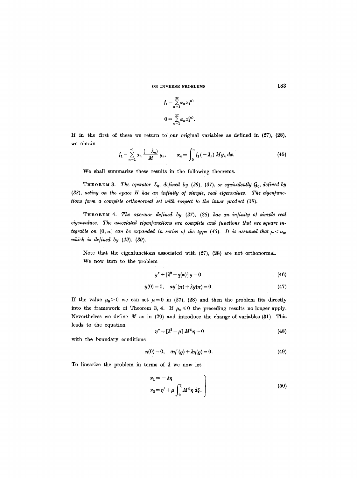$$
f_1 = \sum_{n=1}^{\infty} \alpha_n x_1^{(n)}
$$

$$
0 = \sum_{n=1}^{\infty} \alpha_n x_2^{(n)}.
$$

If in the first of these we return to our original variables as defined in (27), (28), we obtain

$$
f_1 = \sum_{n=1}^{\infty} \alpha_n \frac{(-\lambda_n)}{M} y_n, \qquad \alpha_n = \int_0^{\pi} f_1(-\lambda_n) M y_n dx.
$$
 (45)

We shall summarize these results in the following theorems.

**THEOREM 3.** *The operator*  $L_0$ , defined by (36), (37), or equivalently  $Q_0$ , defined by (38), acting on the space H has an infinity of simple, real eigenvalues. The eigenfunc*tions form a complete orthonormal set with respect to the inner product (39).* 

THEOREM 4. *The operator defined by (27), (28) has an infinity o/ simple real*  eigenvalues. The associated eigenfunctions are complete and functions that are square in*tegrable on*  $[0, \pi]$  *can be expanded in series of the type (45). It is assumed that*  $\mu < \mu_0$ , *which is defined by (29), (30).* 

Note that the eigenfunctions associated with (27), (28) are not orthonormal. We now turn to the problem

$$
y'' + \left[\lambda^2 - q(x)\right]y = 0\tag{46}
$$

$$
y(0) = 0, \quad ay'(\pi) + \lambda y(\pi) = 0.
$$
 (47)

If the value  $\mu_0>0$  we can set  $\mu=0$  in (27), (28) and then the problem fits directly into the framework of Theorem 3, 4. If  $\mu_0 \leq 0$  the preceding results no longer apply. Nevertheless we define  $M$  as in (29) and introduce the change of variables (31). This leads to the equation

$$
\eta'' + [\lambda^2 - \mu] M^4 \eta = 0 \qquad (48)
$$

with the boundary conditions

$$
\eta(0) = 0, \quad a\eta'(\varrho) + \lambda\eta(\varrho) = 0. \tag{49}
$$

To linearize the problem in terms of  $\lambda$  we now let

$$
x_1 = -\lambda \eta
$$
  
\n
$$
x_2 = \eta' + \mu \int_0^e M^4 \eta \, d\xi.
$$
\n(50)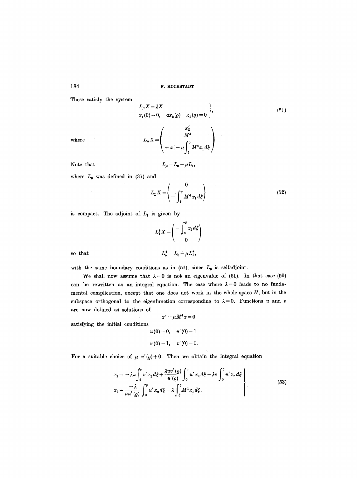These satisfy the system

$$
L_{\mu} X = \lambda X \n x_1(0) = 0, \quad ax_2(\varrho) - x_1(\varrho) = 0
$$
\n(51)

where

$$
L_{\mu}X=\left(\begin{array}{c} \frac{x_2'}{M^4} \\ \\ -x_1'-\mu\displaystyle\int_{\xi}^{\varrho} M^4x_1d\xi \end{array}\right)
$$

Note that  $L_{\mu} = L_0 + \mu L_1$ ,

where  $L_0$  was defined in (37) and

$$
L_1 X = \begin{pmatrix} 0 \\ -\int_{\xi}^{e} M^4 x_1 d\xi \end{pmatrix}
$$
 (52)

is compact. The adjoint of  $L_1$  is given by

$$
L_1^* X = \begin{pmatrix} -\int_0^{\xi} x_2 d\xi \\ 0 \end{pmatrix}
$$
  

$$
L_{\mu}^* = L_0 + \mu L_1^*,
$$

so that *L\* = L o + #L\*,* 

with the same boundary conditions as in  $(51)$ , since  $L_0$  is selfadjoint.

We shall now assume that  $\lambda = 0$  is not an eigenvalue of (51). In that case (50) can be rewritten as an integral equation. The case where  $\lambda = 0$  leads to no fundamental complication, except that one does not work in the whole space  $H$ , but in the subspace orthogonal to the eigenfunction corresponding to  $\lambda = 0$ . Functions u and v are now defined as solutions of

$$
x'' - \mu M^4 x = 0
$$

satisfying the initial conditions

$$
u(0) = 0, \quad u'(0) = 1
$$
  

$$
v(0) = 1, \quad v'(0) = 0.
$$

For a suitable choice of  $\mu$  u'( $\varrho$ ) + 0. Then we obtain the integral equation

$$
x_1 = -\lambda u \int_{\xi}^{e} v' x_2 d\xi + \frac{\lambda uv'(Q)}{u'(Q)} \int_{0}^{e} u' x_2 d\xi - \lambda v \int_{0}^{\xi} u' x_2 d\xi
$$
  

$$
x_2 = \frac{-\lambda}{au'(Q)} \int_{0}^{e} u' x_2 d\xi - \lambda \int_{\xi}^{e} M^4 x_1 d\xi.
$$
 (53)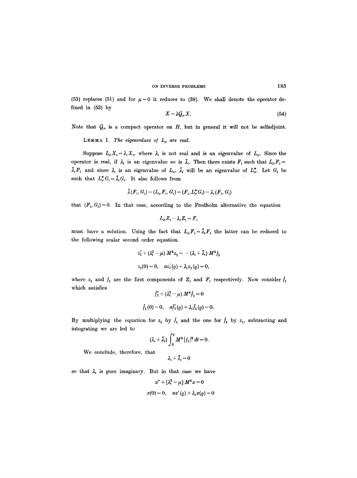(53) replaces (51) and for  $\mu = 0$  it reduces to (38). We shall denote the operator defined in (53) by

$$
X = \lambda G_{\mu} X. \tag{54}
$$

Note that  $G_{\mu}$  is a compact operator on H, but in general it will not be selfadjoint.

**LEMMA 1.** The eigenvalues of  $L_{\mu}$  are real.

Suppose  $L_{\mu}X_i = \lambda_i X_i$ , where  $\lambda_i$  is not real and is an eigenvalue of  $L_{\mu}$ . Since the operator is real, if  $\lambda_i$  is an eigenvalue so is  $\bar{\lambda}_i$ . Then there exists  $F_i$  such that  $L_{\mu}F_i$  =  $\bar{\lambda}_i F_i$  and since  $\lambda_i$  is an eigenvalue of  $L_{\mu}$ ,  $\bar{\lambda}_i$  will be an eigenvalue of  $L_{\mu}^*$ . Let  $G_i$  be such that  $L^*_{\mu} G_i = \overline{\lambda}_i G_i$ . It also follows from

$$
\bar{\lambda}(F_i, G_i) = (L_{\mu} F_i, G_i) = (F_i, L_{\mu}^* G_i) = \lambda_i (F_i, G_i)
$$

that  $(F_i, G_i)=0$ . In that case, according to the Fredholm alternative the equation

$$
L_\mu Z_i - \lambda_i Z_i = F_i
$$

must have a solution. Using the fact that  $L_{\mu}F_i = \bar{\lambda}_iF_i$  the latter can be reduced to the following scalar second order equation.

$$
z_1'' + (\lambda_i^2 - \mu) M^4 z_1 = -(\lambda_i + \bar{\lambda}_i) M^4 f_1
$$
  

$$
z_1(0) = 0, \quad az_1'(\varrho) + \lambda_i z_1(\varrho) = 0,
$$

where  $z_1$  and  $f_1$  are the first components of  $Z_i$  and  $F_i$  respectively. Now consider  $f_1$ which satisfies  $\overline{\phantom{a}}$ 

$$
f_1'' + (\lambda_i^2 - \mu) M^4 f_1 = 0
$$
  

$$
f_1(0) = 0, \quad af_1'(\rho) + \lambda_i f_1(\rho) = 0
$$

By multiplying the equation for  $z_1$  by  $\bar{f}_1$  and the one for  $\bar{f}_1$  by  $z_1$ , subtracting and integrating we are led to

$$
(\lambda_i+\bar\lambda_i)\int_0^e M^4|f_1|^2 dt=0.
$$

We conclude, therefore, that

 $\lambda_i + \bar{\lambda}_i = 0$ 

so that  $\lambda_i$  is pure imaginary. But in that case we have

$$
x'' + \left[\lambda_i^2 - \mu\right] M^4 x = 0
$$
  

$$
x(0) = 0, \quad ax'(0) + \lambda_i x(0) = 0
$$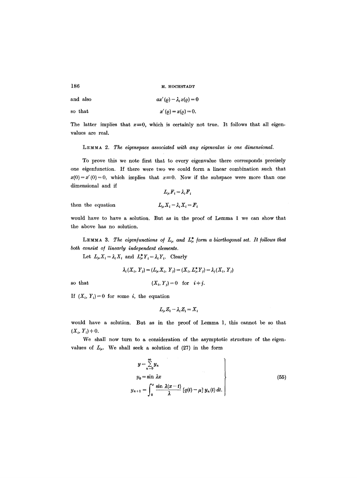and also 
$$
ax'(q) - \lambda_i x(q) = 0
$$

so that 
$$
x'(p) = x(p) = 0.
$$

The latter implies that  $x=0$ , which is certainly not true. It follows that all eigenvalues are real.

LEMMA 2. The eigenspace associated with any eigenvalue is one dimensional.

To prove this we note first that to every eigenvalue there corresponds precisely one eigenfunction. If there were two we could form a linear combination such that  $x(0)=x'(0)=0$ , which implies that  $x=0$ . Now if the subspace were more than one dimensional and if

$$
L_{\mu}F_i = \lambda_i F_i
$$

then the equation

$$
L_{\mu} X_i - \lambda_i X_i = F_i
$$

would have to have a solution. But as in the proof of Lemma 1 we can show that the above has no solution.

LEMMA 3. The eigenfunctions of  $L_{\mu}$  and  $L_{\mu}^{*}$  form a biorthogonal set. It follows that *both consist o/ linearly independent elements.* 

Let  $L_{\mu} X_i = \lambda_i X_i$  and  $L_{\mu}^* Y_i = \lambda_i Y_i$ . Clearly

$$
\lambda_i(X_i, Y_j) = (L_\mu X_i, Y_j) = (X_i, L_\mu^* Y_j) = \lambda_j(X_i, Y_j)
$$

so that  $(X_i, Y_j) = 0$  for  $i \neq j$ .

If  $(X_i, Y_i) = 0$  for some *i*, the equation

$$
L_{\mu}Z_i - \lambda_i Z_i = X_i
$$

would have a solution. But as in the proof of Lemma 1, this cannot be so that  $(X_i, Y_i) + 0.$ 

We shall now turn to a consideration of the asymptotic structure of the eigenvalues of  $L_{\mu}$ . We shall seek a solution of (27) in the form

$$
y = \sum_{n=0}^{\infty} y_n
$$
  
\n
$$
y_0 = \sin \lambda x
$$
  
\n
$$
y_{n+1} = \int_0^x \frac{\sin \lambda (x-t)}{\lambda} [q(t) - \mu] y_n(t) dt.
$$
\n(55)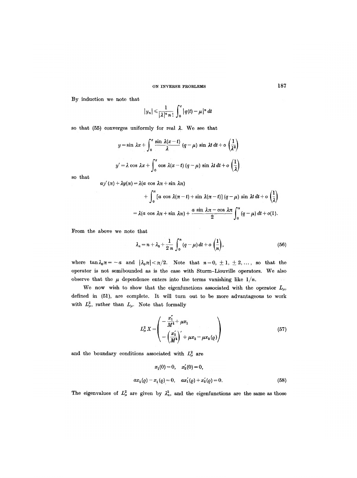By induction we note that

$$
|y_n| \leqslant \frac{1}{|\lambda|^n n!} \int_0^x |q(t)-\mu|^n dt
$$

so that (55) converges uniformly for real  $\lambda$ . We see that

$$
y = \sin \lambda x + \int_0^x \frac{\sin \lambda (x-t)}{\lambda} (q-\mu) \sin \lambda t dt + o\left(\frac{1}{\lambda^2}\right)
$$
  

$$
y' = \lambda \cos \lambda x + \int_0^x \cos \lambda (x-t) (q-\mu) \sin \lambda t dt + o\left(\frac{1}{\lambda}\right).
$$

so that

$$
ay'(\pi)+\lambda y(\pi)=\lambda(a\,\cos\,\lambda\pi+\sin\,\lambda\pi)
$$

$$
+\int_0^{\pi} \left[a \, \cos \, \lambda(\pi-t) + \sin \, \lambda(\pi-t)\right](q-\mu) \, \sin \, \lambda t \, dt + o\left(\frac{1}{\lambda}\right) \\ = \lambda(a \, \cos \, \lambda\pi + \sin \, \lambda\pi) + \frac{a \, \sin \, \lambda\pi - \cos \, \lambda\pi}{2} \int_0^{\pi} (q-\mu) \, dt + o(1).
$$

From the above we note that

$$
\lambda_n = n + \lambda_0 + \frac{1}{2 n} \int_0^n (q - \mu) dt + o\left(\frac{1}{n}\right), \tag{56}
$$

where  $\tan \lambda_0 \pi = -a$  and  $|\lambda_0 \pi| < \pi/2$ . Note that  $n=0, \pm 1, \pm 2, \ldots$ , so that the operator is not semibounded as is the case with Sturm-Liouvilte operators. We also observe that the  $\mu$  dependence enters into the terms vanishing like  $1/n$ .

We now wish to show that the eigenfunctions associated with the operator  $L_{\mu}$ , defined in (51), are complete. It will turn out to be more advantageous to work with  $L^2_{\mu}$ , rather than  $L_{\mu}$ . Note that formally

$$
L_{\mu}^{2} X = \begin{pmatrix} -\frac{x_{1}^{2}}{M^{4}} + \mu x_{1} \\ -\left(\frac{x_{2}^{2}}{M^{4}}\right)^{2} + \mu x_{2} - \mu x_{2}(\varrho) \end{pmatrix}
$$
(57)

and the boundary conditions associated with  $L^2_{\mu}$  are

$$
x_1(0) = 0, \quad x_2'(0) = 0,
$$
  

$$
ax_2(\varrho) - x_1(\varrho) = 0, \quad ax_1'(\varrho) + x_2'(\varrho) = 0.
$$
 (58)

The eigenvalues of  $L^2_\mu$  are given by  $\lambda_n^2$ , and the eigenfunctions are the same as those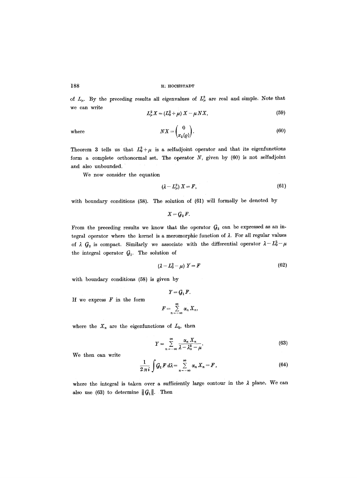of  $L_{\mu}$ . By the preceding results all eigenvalues of  $L_{\mu}^{2}$  are real and simple. Note that we can write

$$
L^2_{\mu}X = (L_0^2 + \mu) X - \mu N X, \qquad (59)
$$

where 
$$
NX = \begin{pmatrix} 0 \\ x_2(\varrho) \end{pmatrix}.
$$
 (60)

Theorem 3 tells us that  $L_0^2 + \mu$  is a selfadjoint operator and that its eigenfunctions form a complete orthonormal set. The operator  $N$ , given by  $(60)$  is not selfadjoint and also unbounded.

We now consider the equation

$$
(\lambda - L^2_\mu) X = F, \tag{61}
$$

with boundary conditions (58). The solution of (61) will formally be denoted by

$$
X = G_2 F.
$$

From the preceding results we know that the operator  $G_2$  can be expressed as an integral operator where the kernel is a meromorphic function of  $\lambda$ . For all regular values of  $\lambda$   $G_2$  is compact. Similarly we associate with the differential operator  $\lambda - L_0^2 - \mu$ the integral operator  $~\mathcal{G}_1$ . The solution of

$$
(\lambda - L_0^2 - \mu) Y = F \tag{62}
$$

with boundary conditions (58) is given by

If we express  $F$  in the form

$$
Y = G_1 F.
$$
  

$$
F = \sum_{n = -\infty}^{\infty} \alpha_n X_n,
$$

where the  $X_n$  are the eigenfunctions of  $L_0$ , then

$$
Y = \sum_{n = -\infty}^{\infty} \frac{\alpha_n X_n}{\lambda - \lambda_n^2 - \mu}.
$$
 (63)

We then can write

$$
\frac{1}{2\pi i}\int G_1F\,d\lambda=\sum_{n=-\infty}^{\infty}\alpha_n\,X_n=F\,,\qquad (64)
$$

where the integral is taken over a sufficiently large contour in the  $\lambda$  plane. We can also use (63) to determine  $||G_1||$ . Then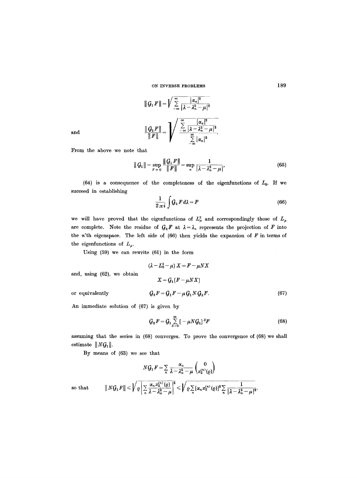and  

$$
\|G_1 F\| = \sqrt{\sum_{-\infty}^{\infty} \frac{|\alpha_n|^2}{|\lambda - \lambda_n^2 - \mu|^2}}
$$

$$
\frac{\|G_1 F\|}{\|F\|} = \sqrt{\sum_{-\infty}^{\infty} \frac{|\alpha_n|^2}{|\lambda - \lambda_n^2 - \mu|^2}}.
$$

From the above we note that

$$
\|G_1\| = \sup_{F+0} \frac{\|G_1 F\|}{\|F\|} = \sup_n \frac{1}{|\lambda - \lambda_n^2 - \mu|},
$$
(65)

(64) is a consequence of the completeness of the eigenfunctions of  $L_0$ . If we succeed in establishing

$$
\frac{1}{2\pi i}\int Q_2 F d\lambda = F \tag{66}
$$

we will have proved that the eigenfunctions of  $L^2_\mu$  and correspondingly those of  $L_\mu$ are complete. Note the residue of  $G_2F$  at  $\lambda = \lambda_n$  represents the projection of F into the  $n'$ th eigenspace. The left side of (66) then yields the expansion of  $F$  in terms of the eigenfunctions of  $L_{\mu}$ .

Using (59) we can rewrite (61) in the form

$$
(\lambda - L_0^2 - \mu) X = F - \mu N X
$$

$$
X = G_1[F - \mu N X]
$$

$$
G_2 F = G_1 F - \mu G_1 N G_2 F. \tag{67}
$$

or equivalently

and, using (62), we obtain

An immediate solution of (67) is given by

$$
G_2 F = G_1 \sum_{s=0}^{\infty} \left[ -\mu N G_1 \right]^s F \tag{68}
$$

assuming that the series in (68) converges. To prove the convergence of (68) we shall estimate  $||N G_1||$ .

By means of (63) we see that

$$
N\mathcal{G}_1 F = \sum_n \frac{\alpha_n}{\lambda - \lambda_n^2 - \mu} \binom{0}{x_2^{(n)}(\varrho)}
$$
  
so that 
$$
||N\mathcal{G}_1 F|| \leqslant \sqrt{\varrho \left| \sum_n \frac{\alpha_n x_2^{(n)}(\varrho)}{\lambda - \lambda_n^2 - \mu} \right|^2} \leqslant \sqrt{\varrho \sum_n [\alpha_n x_2^{(n)}(\varrho)]^2 \sum_n \frac{1}{|\lambda - \lambda_n^2 - \mu|^2}}.
$$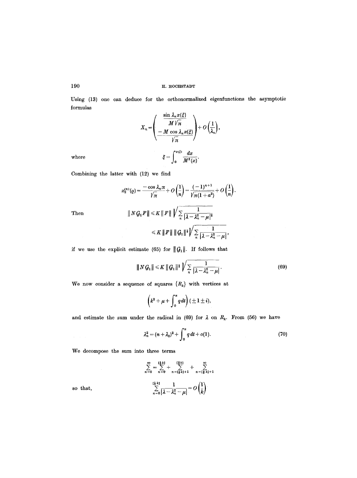Using (13) one can deduce for the orthonormalized eigenfunctions the asymptotic formulas

$$
X_n = \left(\frac{\frac{\sin \lambda_n x(\xi)}{M \sqrt{\pi}}}{-\frac{M \cos \lambda_n x(\xi)}{\sqrt{\pi}}}\right) + O\left(\frac{1}{\lambda_n}\right),
$$
  
where  

$$
\xi = \int_0^{x(\xi)} \frac{dx}{M^2(x)}.
$$

Then

Combining the latter with (12) we find

$$
x_2^{(n)}(Q) = \frac{-\cos \lambda_n \pi}{\sqrt{n}} + O\left(\frac{1}{n}\right) = \frac{(-1)^{n+1}}{\sqrt{\pi(1+a^2)}} + O\left(\frac{1}{n}\right).
$$
  

$$
\|N G_1 F\| \leq K \|F\| \sqrt{\sum_{n} \frac{1}{|\lambda - \lambda_n^2 - \mu|^2}}
$$
  

$$
\leq K \|F\| \|G_1\|^{\frac{1}{2}} \sqrt{\sum_{n} \frac{1}{|\lambda - \lambda_n^2 - \mu|}},
$$

if we use the explicit estimate (65) for  $||G_1||$ . If follows that

$$
||N G_1|| \leq K ||G_1||^{\frac{1}{2}} \sqrt{\sum_{n} \frac{1}{|\lambda - \lambda_n^2 - \mu|}}.
$$
 (69)

We now consider a sequence of squares  $\{R_k\}$  with vertices at

$$
(k^2+\mu+\int_0^{\pi} q dt)(\pm 1\pm i),
$$

and estimate the sum under the radical in (69) for  $\lambda$  on  $R_k$ . From (56) we have

$$
\lambda_n^2 = (n + \lambda_0)^2 + \int_0^\pi q \, dt + o(1). \tag{70}
$$

We decompose the sum into three terms

$$
\sum_{n=0}^{\infty} = \sum_{n=0}^{\left[\frac{1}{2}k\right]} + \sum_{n=\left[\frac{1}{2}k\right]+1}^{\left[\frac{3}{2}k\right]} + \sum_{n=\left[\frac{3}{2}k\right]+1}^{\infty}
$$

$$
\sum_{n=0}^{\left[\frac{1}{2}k\right]} \frac{1}{\left|\lambda - \lambda_n^2 - \mu\right|} = O\left(\frac{1}{k}\right)
$$

so that,

 $\hat{\boldsymbol{\theta}}$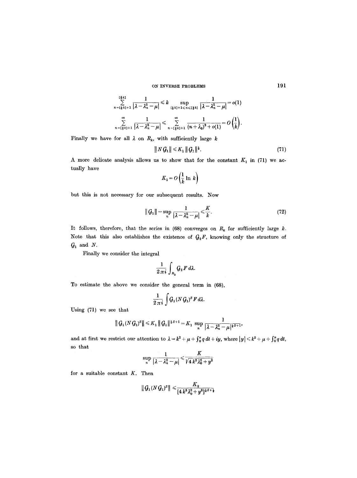$$
\sum_{n=\lfloor\frac{1}{2}k\rfloor+1}^{\lfloor\frac{1}{2}k\rfloor}\frac{1}{\left|\lambda-\lambda_n^2-\mu\right|}\leqslant k\sup_{\lfloor\frac{1}{2}k\rfloor+1\leqslant n\leqslant \lfloor\frac{3}{2}k\rfloor}\frac{1}{\left|\lambda-\lambda_n^2-\mu\right|}=o(1)
$$
  

$$
\sum_{n=\lfloor\frac{3}{2}k\rfloor+1}^{\infty}\frac{1}{\left|\lambda-\lambda_n^2-\mu\right|}\leqslant \sum_{n=\lfloor\frac{3}{2}k\rfloor+1}^{\infty}\frac{1}{\left(n+\lambda_0\right)^2+o(1)}=O\left(\frac{1}{k}\right).
$$

Finally we have for all  $\lambda$  on  $R_k$ , with sufficiently large  $k$ 

$$
||N G_1|| \leq K_1 ||G_1||^{\frac{1}{2}}.
$$
 (71)

A more delicate analysis allows us to show that for the constant  $K_1$  in (71) we actually have

$$
K_1 = O\left(\frac{1}{k} \ln k\right)
$$

but this is not necessary for our subsequent results. Now

$$
||G_1|| = \sup_n \frac{1}{|\lambda - \lambda_n^2 - \mu|} \leq \frac{K}{k}.
$$
 (72)

It follows, therefore, that the series in (68) converges on  $R_k$  for sufficiently large k. Note that this also establishes the existence of  $G_2F$ , knowing only the structure of  $\mathcal{G}_1$  and  $N$ .

Finally we consider the integral

$$
\frac{1}{2\,\pi\,i}\int_{R_k} G_2\,F\,d\lambda.
$$

To estimate the above we consider the general term in (68),

$$
\frac{1}{2\,\pi\,i}\,\int G_1(N\,G_1)^S\,F\,d\lambda.
$$

Using (71) we see that

$$
\|G_1(NG_1)^s\| \leq K_1 \|G_1\|^{\frac{1}{2}S+1} = K_1 \sup_n \frac{1}{|\lambda - \lambda_n^2 - \mu|^{1\leq r+1}},
$$

and at first we restrict our attention to  $\lambda = k^2 + \mu + \int_0^{\pi} q \, dt + iy$ , where  $|y| \leq k^2 + \mu + \int_0^{\pi} q \, dt$ , so that

$$
\sup_{n} \frac{1}{|\lambda - \lambda_n^2 - \mu|} \leq \frac{K}{\sqrt{4 k^2 \lambda_0^2 + y^2}}
$$

for a suitable constant  $K$ . Then

$$
\|G_1 (N \, G_1)^S\| \leqslant \frac{K_2}{[4 \, k^2 \lambda_0^2 + y^2]^{\frac{1}{4}S + \frac{1}{2}}}
$$